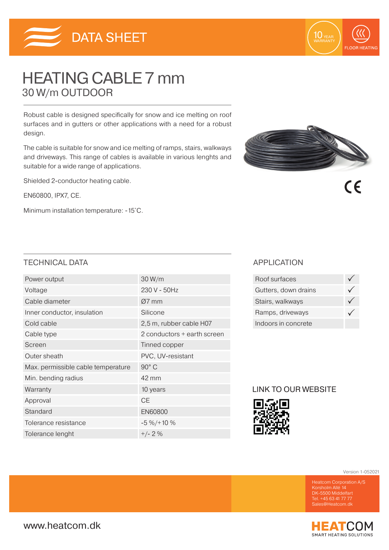

# HEATING CABLE 7 mm 30 W/m OUTDOOR

Robust cable is designed specifically for snow and ice melting on roof surfaces and in gutters or other applications with a need for a robust design.

The cable is suitable for snow and ice melting of ramps, stairs, walkways and driveways. This range of cables is available in various lenghts and suitable for a wide range of applications.

Shielded 2-conductor heating cable.

EN60800, IPX7, CE.

Minimum installation temperature: -15˚C.



10 YEAR

**FLOOR HEATING** 

 $\epsilon$ 

## TECHNICAL DATA APPLICATION

| Power output                       | 30 W/m                      |  |
|------------------------------------|-----------------------------|--|
| Voltage                            | 230 V - 50Hz                |  |
| Cable diameter                     | $Ø7$ mm                     |  |
| Inner conductor, insulation        | Silicone                    |  |
| Cold cable                         | 2,5 m, rubber cable H07     |  |
| Cable type                         | 2 conductors + earth screen |  |
| Screen                             | Tinned copper               |  |
| Outer sheath                       | PVC, UV-resistant           |  |
| Max. permissible cable temperature | 90° C                       |  |
| Min. bending radius                | 42 mm                       |  |
| Warranty                           | 10 years                    |  |
| Approval                           | <b>CE</b>                   |  |
| Standard                           | <b>EN60800</b>              |  |
| Tolerance resistance               | $-5\% / + 10\%$             |  |
| Tolerance lenght                   | $+/- 2%$                    |  |

| Roof surfaces        |  |
|----------------------|--|
| Gutters, down drains |  |
| Stairs, walkways     |  |
| Ramps, driveways     |  |
| Indoors in concrete  |  |

### LINK TO OUR WEBSITE



Version 1-052021

DK-5500 Middelfart Tel. +45 63 41 77 77